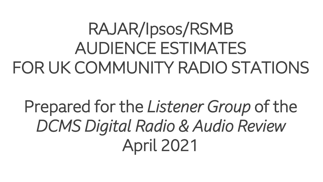## RAJAR/Ipsos/RSMB AUDIENCE ESTIMATES FOR UK COMMUNITY RADIO STATIONS

Prepared for the *Listener Group* of the *DCMS Digital Radio & Audio Review* April 2021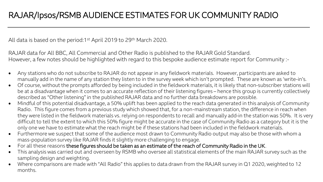All data is based on the period:1st April 2019 to 29th March 2020.

RAJAR data for All BBC, All Commercial and Other Radio is published to the RAJAR Gold Standard. However, a few notes should be highlighted with regard to this bespoke audience estimate report for Community :-

- Any stations who do not subscribe to RAJAR do not appear in any fieldwork materials. However, participants are asked to manually add in the name of any station they listen to in the survey week which isn't prompted. These are known as 'write-in's.
- Of course, without the prompts afforded by being included in the fieldwork materials, it is likely that non-subscriber stations will be at a disadvantage when it comes to an accurate reflection of their listening figures – hence this group is currently collectively described as "Other listening" in the published RAJAR data and no further data breakdowns are possible.
- Mindful of this potential disadvantage, a 50% uplift has been applied to the reach data generated in this analysis of Community Radio. This figure comes from a previous study which showed that, for a non-mainstream station, the difference in reach when they were listed in the fieldwork materials vs. relying on respondents to recall and manually add-in the station was 50%. It is very difficult to tell the extent to which this 50% figure might be accurate in the case of Community Radio as a category but it is the only one we have to estimate what the reach might be if these stations had been included in the fieldwork materials.
- Furthermore we suspect that some of the audience most drawn to Community Radio output may also be those with whom a mass-population survey like RAJAR finds it slightly more challenging to engage.
- For all these reasons these figures should be taken as an estimate of the reach of Community Radio in the UK.
- This analysis was carried out and overseen by RSMB who oversee all statistical elements of the main RAJAR survey such as the sampling design and weighting.
- Where comparisons are made with "All Radio" this applies to data drawn from the RAJAR survey in Q1 2020, weighted to 12 months.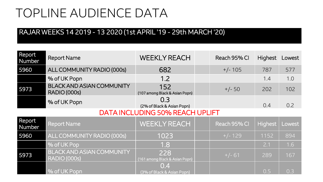## TOPLINE AUDIENCE DATA

## RAJAR WEEKS 14 2019 - 13 2020 (1st APRIL '19 - 29th MARCH '20)

| Report<br>Number                       | <b>Report Name</b>                                      | <b>WEEKLY REACH</b>                   |  | Reach 95% CI | <b>Highest</b> | Lowest |
|----------------------------------------|---------------------------------------------------------|---------------------------------------|--|--------------|----------------|--------|
| 5960                                   | ALL COMMUNITY RADIO (000s)                              | 682                                   |  | $+/- 105$    | 787            | 577    |
|                                        | % of UK Popn                                            | 1.2                                   |  |              | 1.4            | 1.0    |
| 5973                                   | <b>BLACK AND ASIAN COMMUNITY</b><br>RADIO (000s)        | 152<br>(107 among Black & Asian Popn) |  | $+/- 50$     | 202            | 102    |
|                                        | % of UK Popn                                            | 0.3<br>(2% of Black & Asian Popn)     |  |              | 0.4            | 0.2    |
| <b>DATA INCLUDING 50% REACH UPLIFT</b> |                                                         |                                       |  |              |                |        |
| Report<br>Number                       | <b>Report Name</b>                                      | <b>WEEKLY REACH</b>                   |  | Reach 95% CI | Highest        | Lowest |
| 5960                                   | ALL COMMUNITY RADIO (000s)                              | 1023                                  |  | $+/- 129$    | 1152           | 894    |
|                                        | % of UK Pop                                             | 1.8                                   |  |              | 2.1            | 1.6    |
| 5973                                   | <b>BLACK AND ASIAN COMMUNITY</b><br><b>RADIO (000s)</b> | 228<br>(161 among Black & Asian Popn) |  | $+/- 61$     | 289            | 167    |
|                                        | % of UK Popn                                            | 0.4<br>(3% of Black & Asian Popn)     |  |              | 0.5            | 0.3    |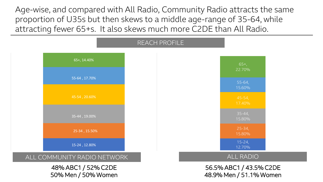Age-wise, and compared with All Radio, Community Radio attracts the same proportion of U35s but then skews to a middle age-range of 35-64, while attracting fewer 65+s. It also skews much more C2DE than All Radio.

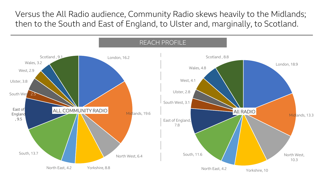Versus the All Radio audience, Community Radio skews heavily to the Midlands; then to the South and East of England, to Ulster and, marginally, to Scotland.

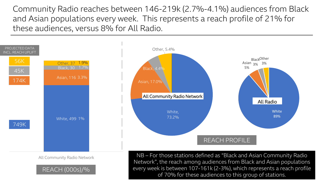Community Radio reaches between 146-219k (2.7%-4.1%) audiences from Black and Asian populations every week. This represents a reach profile of 21% for these audiences, versus 8% for All Radio.



of 70% for these audiences to this group of stations.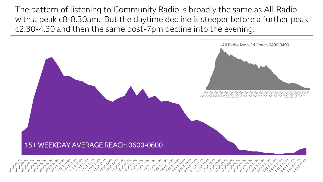The pattern of listening to Community Radio is broadly the same as All Radio with a peak c8-8.30am. But the daytime decline is steeper before a further peak c2.30-4.30 and then the same post-7pm decline into the evening.

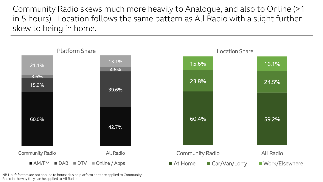Community Radio skews much more heavily to Analogue, and also to Online (>1 in 5 hours). Location follows the same pattern as All Radio with a slight further skew to being in home.



NB Uplift factors are not applied to hours; plus no platform edits are applied to Community Radio in the way they can be applied to All Radio